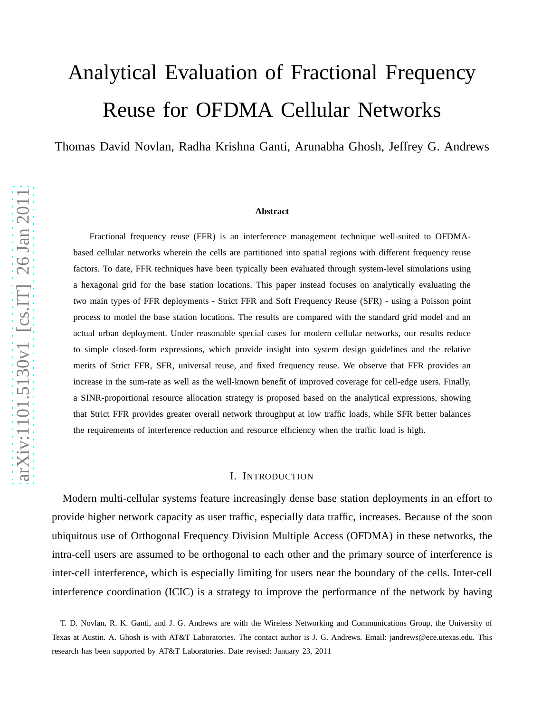# Analytical Evaluation of Fractional Frequency Reuse for OFDMA Cellular Networks

Thomas David Novlan, Radha Krishna Ganti, Arunabha Ghosh, Jeffrey G. Andrews

#### **Abstract**

Fractional frequency reuse (FFR) is an interference management technique well-suited to OFDMAbased cellular networks wherein the cells are partitioned into spatial regions with different frequency reuse factors. To date, FFR techniques have been typically been evaluated through system-level simulations using a hexagonal grid for the base station locations. This paper instead focuses on analytically evaluating the two main types of FFR deployments - Strict FFR and Soft Frequency Reuse (SFR) - using a Poisson point process to model the base station locations. The results are compared with the standard grid model and an actual urban deployment. Under reasonable special cases for modern cellular networks, our results reduce to simple closed-form expressions, which provide insight into system design guidelines and the relative merits of Strict FFR, SFR, universal reuse, and fixed frequency reuse. We observe that FFR provides an increase in the sum-rate as well as the well-known benefit of improved coverage for cell-edge users. Finally, a SINR-proportional resource allocation strategy is proposed based on the analytical expressions, showing that Strict FFR provides greater overall network throughput at low traffic loads, while SFR better balances the requirements of interference reduction and resource efficiency when the traffic load is high.

### I. INTRODUCTION

Modern multi-cellular systems feature increasingly dense base station deployments in an effort to provide higher network capacity as user traffic, especially data traffic, increases. Because of the soon ubiquitous use of Orthogonal Frequency Division Multiple Access (OFDMA) in these networks, the intra-cell users are assumed to be orthogonal to each other and the primary source of interference is inter-cell interference, which is especially limiting for users near the boundary of the cells. Inter-cell interference coordination (ICIC) is a strategy to improve the performance of the network by having

T. D. Novlan, R. K. Ganti, and J. G. Andrews are with the Wireless Networking and Communications Group, the University of Texas at Austin. A. Ghosh is with AT&T Laboratories. The contact author is J. G. Andrews. Email: jandrews@ece.utexas.edu. This research has been supported by AT&T Laboratories. Date revised: January 23, 2011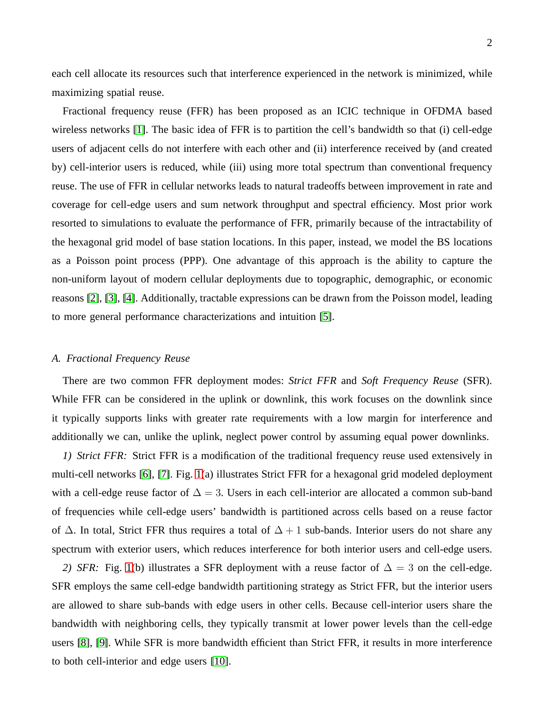each cell allocate its resources such that interference experienced in the network is minimized, while maximizing spatial reuse.

Fractional frequency reuse (FFR) has been proposed as an ICIC technique in OFDMA based wireless networks [\[1\]](#page-19-0). The basic idea of FFR is to partition the cell's bandwidth so that (i) cell-edge users of adjacent cells do not interfere with each other and (ii) interference received by (and created by) cell-interior users is reduced, while (iii) using more total spectrum than conventional frequency reuse. The use of FFR in cellular networks leads to natural tradeoffs between improvement in rate and coverage for cell-edge users and sum network throughput and spectral efficiency. Most prior work resorted to simulations to evaluate the performance of FFR, primarily because of the intractability of the hexagonal grid model of base station locations. In this paper, instead, we model the BS locations as a Poisson point process (PPP). One advantage of this approach is the ability to capture the non-uniform layout of modern cellular deployments due to topographic, demographic, or economic reasons [\[2\]](#page-19-1), [\[3\]](#page-19-2), [\[4\]](#page-19-3). Additionally, tractable expressions can be drawn from the Poisson model, leading to more general performance characterizations and intuition [\[5\]](#page-19-4).

## *A. Fractional Frequency Reuse*

There are two common FFR deployment modes: *Strict FFR* and *Soft Frequency Reuse* (SFR). While FFR can be considered in the uplink or downlink, this work focuses on the downlink since it typically supports links with greater rate requirements with a low margin for interference and additionally we can, unlike the uplink, neglect power control by assuming equal power downlinks.

*1) Strict FFR:* Strict FFR is a modification of the traditional frequency reuse used extensively in multi-cell networks [\[6\]](#page-20-0), [\[7\]](#page-20-1). Fig. [1\(](#page-21-0)a) illustrates Strict FFR for a hexagonal grid modeled deployment with a cell-edge reuse factor of  $\Delta = 3$ . Users in each cell-interior are allocated a common sub-band of frequencies while cell-edge users' bandwidth is partitioned across cells based on a reuse factor of  $\Delta$ . In total, Strict FFR thus requires a total of  $\Delta + 1$  sub-bands. Interior users do not share any spectrum with exterior users, which reduces interference for both interior users and cell-edge users.

*2) SFR:* Fig. [1\(](#page-21-0)b) illustrates a SFR deployment with a reuse factor of  $\Delta = 3$  on the cell-edge. SFR employs the same cell-edge bandwidth partitioning strategy as Strict FFR, but the interior users are allowed to share sub-bands with edge users in other cells. Because cell-interior users share the bandwidth with neighboring cells, they typically transmit at lower power levels than the cell-edge users [\[8\]](#page-20-2), [\[9\]](#page-20-3). While SFR is more bandwidth efficient than Strict FFR, it results in more interference to both cell-interior and edge users [\[10\]](#page-20-4).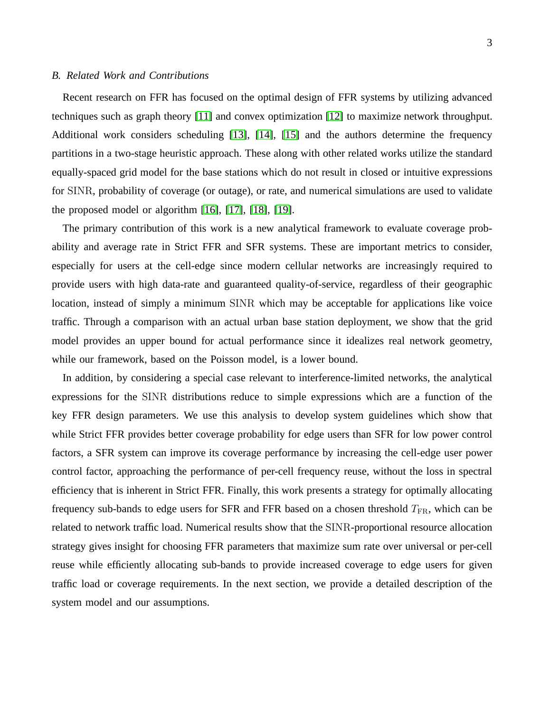## *B. Related Work and Contributions*

Recent research on FFR has focused on the optimal design of FFR systems by utilizing advanced techniques such as graph theory [\[11\]](#page-20-5) and convex optimization [\[12\]](#page-20-6) to maximize network throughput. Additional work considers scheduling [\[13\]](#page-20-7), [\[14\]](#page-20-8), [\[15\]](#page-20-9) and the authors determine the frequency partitions in a two-stage heuristic approach. These along with other related works utilize the standard equally-spaced grid model for the base stations which do not result in closed or intuitive expressions for SINR, probability of coverage (or outage), or rate, and numerical simulations are used to validate the proposed model or algorithm  $[16]$ ,  $[17]$ ,  $[18]$ ,  $[19]$ .

The primary contribution of this work is a new analytical framework to evaluate coverage probability and average rate in Strict FFR and SFR systems. These are important metrics to consider, especially for users at the cell-edge since modern cellular networks are increasingly required to provide users with high data-rate and guaranteed quality-of-service, regardless of their geographic location, instead of simply a minimum SINR which may be acceptable for applications like voice traffic. Through a comparison with an actual urban base station deployment, we show that the grid model provides an upper bound for actual performance since it idealizes real network geometry, while our framework, based on the Poisson model, is a lower bound.

In addition, by considering a special case relevant to interference-limited networks, the analytical expressions for the SINR distributions reduce to simple expressions which are a function of the key FFR design parameters. We use this analysis to develop system guidelines which show that while Strict FFR provides better coverage probability for edge users than SFR for low power control factors, a SFR system can improve its coverage performance by increasing the cell-edge user power control factor, approaching the performance of per-cell frequency reuse, without the loss in spectral efficiency that is inherent in Strict FFR. Finally, this work presents a strategy for optimally allocating frequency sub-bands to edge users for SFR and FFR based on a chosen threshold  $T_{FR}$ , which can be related to network traffic load. Numerical results show that the SINR-proportional resource allocation strategy gives insight for choosing FFR parameters that maximize sum rate over universal or per-cell reuse while efficiently allocating sub-bands to provide increased coverage to edge users for given traffic load or coverage requirements. In the next section, we provide a detailed description of the system model and our assumptions.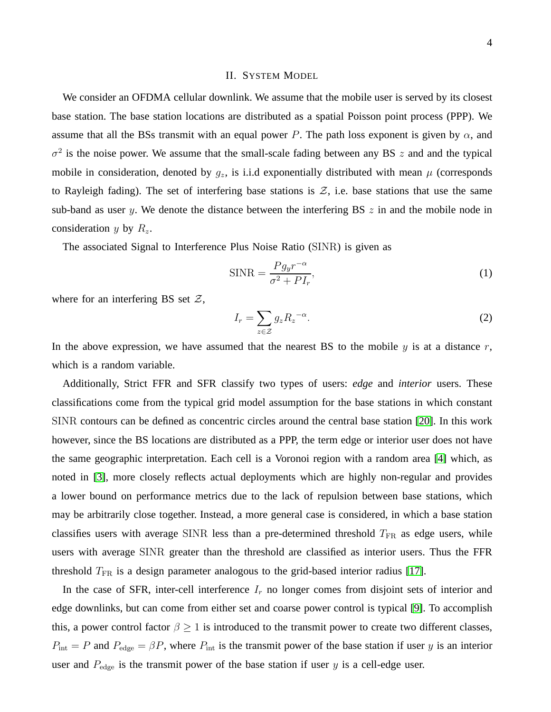#### II. SYSTEM MODEL

We consider an OFDMA cellular downlink. We assume that the mobile user is served by its closest base station. The base station locations are distributed as a spatial Poisson point process (PPP). We assume that all the BSs transmit with an equal power P. The path loss exponent is given by  $\alpha$ , and  $\sigma^2$  is the noise power. We assume that the small-scale fading between any BS z and and the typical mobile in consideration, denoted by  $g_z$ , is i.i.d exponentially distributed with mean  $\mu$  (corresponds to Rayleigh fading). The set of interfering base stations is  $\mathcal{Z}$ , i.e. base stations that use the same sub-band as user y. We denote the distance between the interfering BS  $z$  in and the mobile node in consideration y by  $R_z$ .

The associated Signal to Interference Plus Noise Ratio (SINR) is given as

<span id="page-3-0"></span>
$$
\text{SINR} = \frac{Pg_{y}r^{-\alpha}}{\sigma^2 + PI_r},\tag{1}
$$

where for an interfering BS set  $\mathcal{Z}$ ,

$$
I_r = \sum_{z \in \mathcal{Z}} g_z R_z^{-\alpha}.
$$
 (2)

In the above expression, we have assumed that the nearest BS to the mobile  $y$  is at a distance  $r$ , which is a random variable.

Additionally, Strict FFR and SFR classify two types of users: *edge* and *interior* users. These classifications come from the typical grid model assumption for the base stations in which constant SINR contours can be defined as concentric circles around the central base station [\[20\]](#page-20-14). In this work however, since the BS locations are distributed as a PPP, the term edge or interior user does not have the same geographic interpretation. Each cell is a Voronoi region with a random area [\[4\]](#page-19-3) which, as noted in [\[3\]](#page-19-2), more closely reflects actual deployments which are highly non-regular and provides a lower bound on performance metrics due to the lack of repulsion between base stations, which may be arbitrarily close together. Instead, a more general case is considered, in which a base station classifies users with average SINR less than a pre-determined threshold  $T_{FR}$  as edge users, while users with average SINR greater than the threshold are classified as interior users. Thus the FFR threshold  $T_{\text{FR}}$  is a design parameter analogous to the grid-based interior radius [\[17\]](#page-20-11).

In the case of SFR, inter-cell interference  $I_r$  no longer comes from disjoint sets of interior and edge downlinks, but can come from either set and coarse power control is typical [\[9\]](#page-20-3). To accomplish this, a power control factor  $\beta \geq 1$  is introduced to the transmit power to create two different classes,  $P_{\text{int}} = P$  and  $P_{\text{edge}} = \beta P$ , where  $P_{\text{int}}$  is the transmit power of the base station if user y is an interior user and  $P_{\text{edge}}$  is the transmit power of the base station if user y is a cell-edge user.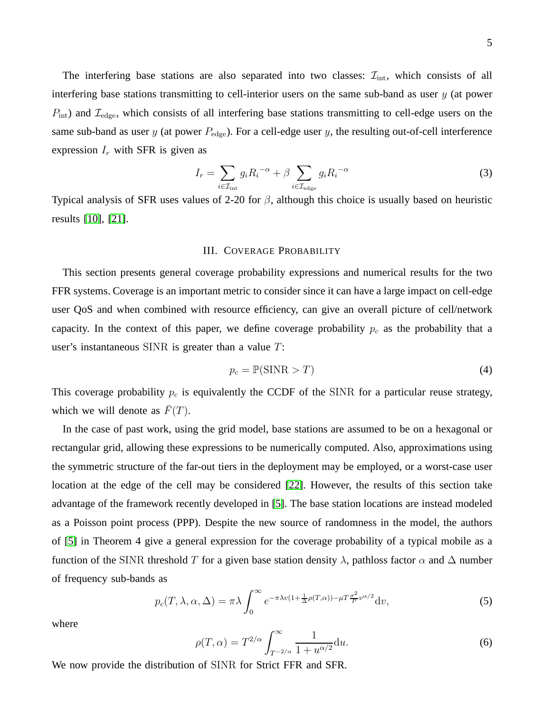The interfering base stations are also separated into two classes:  $\mathcal{I}_{int}$ , which consists of all interfering base stations transmitting to cell-interior users on the same sub-band as user  $y$  (at power  $P_{\text{int}}$ ) and  $\mathcal{I}_{\text{edge}}$ , which consists of all interfering base stations transmitting to cell-edge users on the same sub-band as user  $y$  (at power  $P_{\text{edge}}$ ). For a cell-edge user  $y$ , the resulting out-of-cell interference expression  $I_r$  with SFR is given as

<span id="page-4-2"></span>
$$
I_r = \sum_{i \in \mathcal{I}_{\text{int}}} g_i R_i^{-\alpha} + \beta \sum_{i \in \mathcal{I}_{\text{edge}}} g_i R_i^{-\alpha}
$$
 (3)

<span id="page-4-3"></span>Typical analysis of SFR uses values of 2-20 for  $\beta$ , although this choice is usually based on heuristic results [\[10\]](#page-20-4), [\[21\]](#page-20-15).

## III. COVERAGE PROBABILITY

This section presents general coverage probability expressions and numerical results for the two FFR systems. Coverage is an important metric to consider since it can have a large impact on cell-edge user QoS and when combined with resource efficiency, can give an overall picture of cell/network capacity. In the context of this paper, we define coverage probability  $p_c$  as the probability that a user's instantaneous SINR is greater than a value T:

<span id="page-4-1"></span>
$$
p_c = \mathbb{P}(\text{SINR} > T) \tag{4}
$$

This coverage probability  $p_c$  is equivalently the CCDF of the SINR for a particular reuse strategy, which we will denote as  $F(T)$ .

In the case of past work, using the grid model, base stations are assumed to be on a hexagonal or rectangular grid, allowing these expressions to be numerically computed. Also, approximations using the symmetric structure of the far-out tiers in the deployment may be employed, or a worst-case user location at the edge of the cell may be considered [\[22\]](#page-20-16). However, the results of this section take advantage of the framework recently developed in [\[5\]](#page-19-4). The base station locations are instead modeled as a Poisson point process (PPP). Despite the new source of randomness in the model, the authors of [\[5\]](#page-19-4) in Theorem 4 give a general expression for the coverage probability of a typical mobile as a function of the SINR threshold T for a given base station density  $\lambda$ , pathloss factor  $\alpha$  and  $\Delta$  number of frequency sub-bands as

<span id="page-4-0"></span>
$$
p_c(T, \lambda, \alpha, \Delta) = \pi \lambda \int_0^\infty e^{-\pi \lambda v (1 + \frac{1}{\Delta} \rho(T, \alpha)) - \mu T \frac{\sigma^2}{P} v^{\alpha/2}} dv,
$$
 (5)

where

$$
\rho(T,\alpha) = T^{2/\alpha} \int_{T^{-2/\alpha}}^{\infty} \frac{1}{1 + u^{\alpha/2}} du.
$$
\n(6)

We now provide the distribution of SINR for Strict FFR and SFR.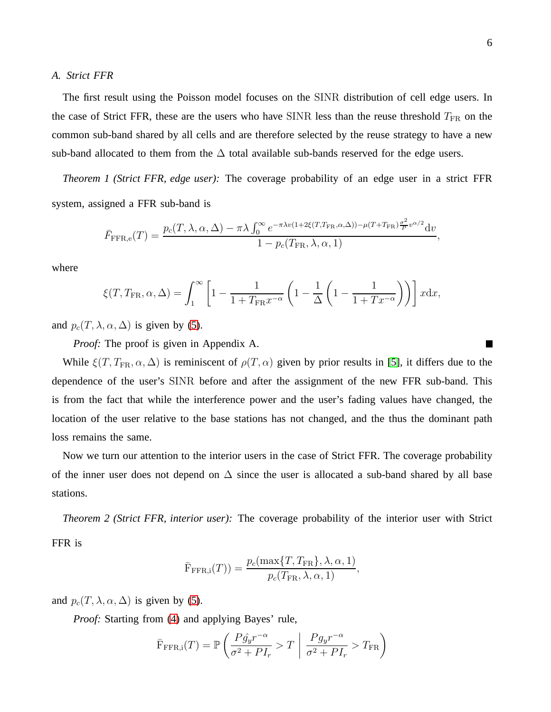#### *A. Strict FFR*

The first result using the Poisson model focuses on the SINR distribution of cell edge users. In the case of Strict FFR, these are the users who have SINR less than the reuse threshold  $T_{FR}$  on the common sub-band shared by all cells and are therefore selected by the reuse strategy to have a new sub-band allocated to them from the  $\Delta$  total available sub-bands reserved for the edge users.

<span id="page-5-1"></span>*Theorem 1 (Strict FFR, edge user):* The coverage probability of an edge user in a strict FFR system, assigned a FFR sub-band is

$$
\bar{F}_{\text{FFR,e}}(T) = \frac{p_c(T, \lambda, \alpha, \Delta) - \pi \lambda \int_0^\infty e^{-\pi \lambda v (1 + 2\xi(T, T_{\text{FR}}, \alpha, \Delta)) - \mu(T + T_{\text{FR}}) \frac{\sigma^2}{P} v^{\alpha/2}}{\lambda} dv}{1 - p_c(T_{\text{FR}}, \lambda, \alpha, 1)},
$$

where

$$
\xi(T, T_{\text{FR}}, \alpha, \Delta) = \int_1^{\infty} \left[ 1 - \frac{1}{1 + T_{\text{FR}} x^{-\alpha}} \left( 1 - \frac{1}{\Delta} \left( 1 - \frac{1}{1 + T x^{-\alpha}} \right) \right) \right] x \, dx,
$$

and  $p_c(T, \lambda, \alpha, \Delta)$  is given by [\(5\)](#page-4-0).

*Proof:* The proof is given in Appendix A.

While  $\xi(T, T_{FR}, \alpha, \Delta)$  is reminiscent of  $\rho(T, \alpha)$  given by prior results in [\[5\]](#page-19-4), it differs due to the dependence of the user's SINR before and after the assignment of the new FFR sub-band. This is from the fact that while the interference power and the user's fading values have changed, the location of the user relative to the base stations has not changed, and the thus the dominant path loss remains the same.

<span id="page-5-0"></span>Now we turn our attention to the interior users in the case of Strict FFR. The coverage probability of the inner user does not depend on  $\Delta$  since the user is allocated a sub-band shared by all base stations.

*Theorem 2 (Strict FFR, interior user):* The coverage probability of the interior user with Strict FFR is

$$
\bar{\mathrm{F}}_{\mathrm{FFR,i}}(T)) = \frac{p_c(\max\{T, T_{\mathrm{FR}}\}, \lambda, \alpha, 1)}{p_c(T_{\mathrm{FR}}, \lambda, \alpha, 1)},
$$

and  $p_c(T, \lambda, \alpha, \Delta)$  is given by [\(5\)](#page-4-0).

*Proof:* Starting from [\(4\)](#page-4-1) and applying Bayes' rule,

$$
\bar{\mathrm{F}}_{\mathrm{FFR},i}(T) = \mathbb{P}\left(\frac{P\hat{g}_y r^{-\alpha}}{\sigma^2 + P I_r} > T \mid \frac{P g_y r^{-\alpha}}{\sigma^2 + P I_r} > T_{\mathrm{FR}}\right)
$$

**The Co**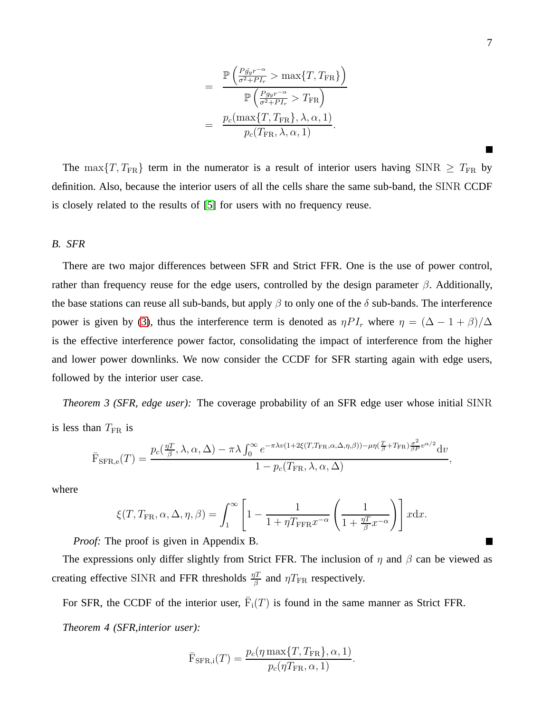$$
= \frac{\mathbb{P}\left(\frac{Pg_{y}r^{-\alpha}}{\sigma^2 + PI_r} > \max\{T, T_{FR}\}\right)}{\mathbb{P}\left(\frac{Pg_{y}r^{-\alpha}}{\sigma^2 + PI_r} > T_{FR}\right)}
$$

$$
= \frac{p_c(\max\{T, T_{FR}\}, \lambda, \alpha, 1)}{p_c(T_{FR}, \lambda, \alpha, 1)}.
$$

The max $\{T, T_{FR}\}$  term in the numerator is a result of interior users having SINR  $\geq T_{FR}$  by definition. Also, because the interior users of all the cells share the same sub-band, the SINR CCDF is closely related to the results of [\[5\]](#page-19-4) for users with no frequency reuse.

## *B. SFR*

There are two major differences between SFR and Strict FFR. One is the use of power control, rather than frequency reuse for the edge users, controlled by the design parameter  $\beta$ . Additionally, the base stations can reuse all sub-bands, but apply  $\beta$  to only one of the  $\delta$  sub-bands. The interference power is given by [\(3\)](#page-4-2), thus the interference term is denoted as  $\eta P I_r$  where  $\eta = (\Delta - 1 + \beta)/\Delta$ is the effective interference power factor, consolidating the impact of interference from the higher and lower power downlinks. We now consider the CCDF for SFR starting again with edge users, followed by the interior user case.

<span id="page-6-0"></span>*Theorem 3 (SFR, edge user):* The coverage probability of an SFR edge user whose initial SINR is less than  $T_{\text{FR}}$  is

$$
\bar{\mathrm{F}}_{\mathrm{SFR},e}(T) = \frac{p_c(\frac{\eta T}{\beta}, \lambda, \alpha, \Delta) - \pi \lambda \int_0^\infty e^{-\pi \lambda v (1 + 2\xi(T, T_{\mathrm{FR}}, \alpha, \Delta, \eta, \beta)) - \mu \eta(\frac{T}{\beta} + T_{\mathrm{FR}}) \frac{\sigma^2}{\beta P} v^{\alpha/2}}{\lambda} dv}{1 - p_c(T_{\mathrm{FR}}, \lambda, \alpha, \Delta)},
$$

where

$$
\xi(T, T_{\text{FR}}, \alpha, \Delta, \eta, \beta) = \int_1^{\infty} \left[1 - \frac{1}{1 + \eta T_{\text{FFR}} x^{-\alpha}} \left(\frac{1}{1 + \frac{\eta T}{\beta} x^{-\alpha}}\right)\right] x \, dx.
$$

*Proof:* The proof is given in Appendix B.

The expressions only differ slightly from Strict FFR. The inclusion of  $\eta$  and  $\beta$  can be viewed as creating effective SINR and FFR thresholds  $\frac{\eta T}{\beta}$  and  $\eta T_{\text{FR}}$  respectively.

For SFR, the CCDF of the interior user,  $\overline{F}_i(T)$  is found in the same manner as Strict FFR. *Theorem 4 (SFR,interior user):*

$$
\bar{\mathrm{F}}_{\mathrm{SFR,i}}(T) = \frac{p_c(\eta \max\{T, T_{\mathrm{FR}}\}, \alpha, 1)}{p_c(\eta T_{\mathrm{FR}}, \alpha, 1)}.
$$

 $\blacksquare$ 

**The Co**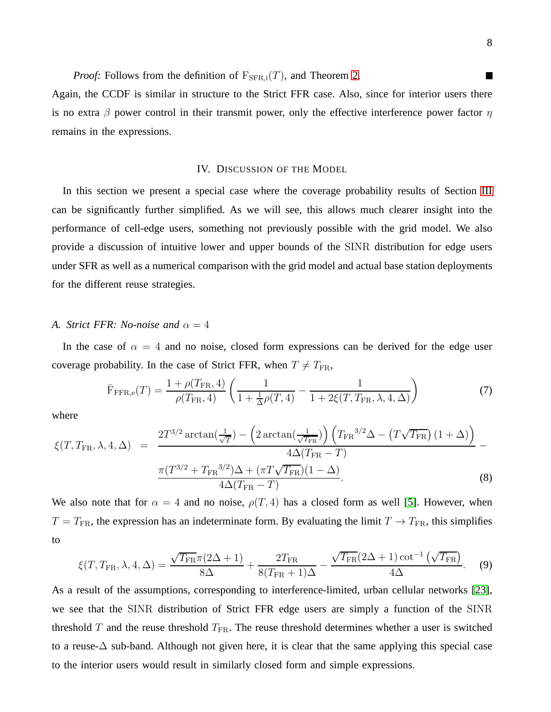*Proof:* Follows from the definition of  $F_{\text{SFR,i}}(T)$ , and Theorem [2.](#page-5-0)

<span id="page-7-1"></span>Again, the CCDF is similar in structure to the Strict FFR case. Also, since for interior users there is no extra  $\beta$  power control in their transmit power, only the effective interference power factor  $\eta$ remains in the expressions.

#### IV. DISCUSSION OF THE MODEL

In this section we present a special case where the coverage probability results of Section [III](#page-4-3) can be significantly further simplified. As we will see, this allows much clearer insight into the performance of cell-edge users, something not previously possible with the grid model. We also provide a discussion of intuitive lower and upper bounds of the SINR distribution for edge users under SFR as well as a numerical comparison with the grid model and actual base station deployments for the different reuse strategies.

#### <span id="page-7-0"></span>*A. Strict FFR: No-noise and*  $\alpha = 4$

In the case of  $\alpha = 4$  and no noise, closed form expressions can be derived for the edge user coverage probability. In the case of Strict FFR, when  $T \neq T_{\text{FR}}$ ,

$$
\bar{F}_{\text{FFR,e}}(T) = \frac{1 + \rho(T_{\text{FR}}, 4)}{\rho(T_{\text{FR}}, 4)} \left( \frac{1}{1 + \frac{1}{\Delta}\rho(T, 4)} - \frac{1}{1 + 2\xi(T, T_{\text{FR}}, \lambda, 4, \Delta)} \right)
$$
(7)

where

$$
\xi(T, T_{\text{FR}}, \lambda, 4, \Delta) = \frac{2T^{3/2} \arctan(\frac{1}{\sqrt{T}}) - \left(2 \arctan(\frac{1}{\sqrt{T_{\text{FR}}}})\right) \left(T_{\text{FR}}^{3/2} \Delta - \left(T\sqrt{T_{\text{FR}}}\right)(1+\Delta)\right)}{4\Delta(T_{\text{FR}} - T)} - \frac{\pi (T^{3/2} + T_{\text{FR}}^{3/2})\Delta + (\pi T\sqrt{T_{\text{FR}}})(1-\Delta)}{4\Delta(T_{\text{FR}} - T)}.
$$
\n(8)

We also note that for  $\alpha = 4$  and no noise,  $\rho(T, 4)$  has a closed form as well [\[5\]](#page-19-4). However, when  $T = T_{\text{FR}}$ , the expression has an indeterminate form. By evaluating the limit  $T \rightarrow T_{\text{FR}}$ , this simplifies to

$$
\xi(T, T_{\text{FR}}, \lambda, 4, \Delta) = \frac{\sqrt{T_{\text{FR}}}\pi (2\Delta + 1)}{8\Delta} + \frac{2T_{\text{FR}}}{8(T_{\text{FR}} + 1)\Delta} - \frac{\sqrt{T_{\text{FR}}}(2\Delta + 1)\cot^{-1}(\sqrt{T_{\text{FR}}})}{4\Delta}.
$$
 (9)

As a result of the assumptions, corresponding to interference-limited, urban cellular networks [\[23\]](#page-20-17), we see that the SINR distribution of Strict FFR edge users are simply a function of the SINR threshold  $T$  and the reuse threshold  $T_{FR}$ . The reuse threshold determines whether a user is switched to a reuse-∆ sub-band. Although not given here, it is clear that the same applying this special case to the interior users would result in similarly closed form and simple expressions.

**Tale**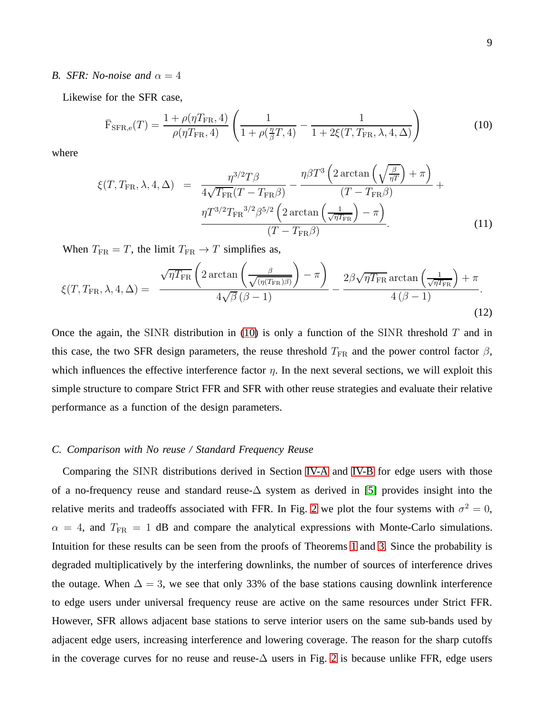#### <span id="page-8-1"></span>*B. SFR: No-noise and*  $\alpha = 4$

Likewise for the SFR case,

<span id="page-8-0"></span>
$$
\bar{F}_{\rm SFR,e}(T) = \frac{1 + \rho(\eta T_{\rm FR}, 4)}{\rho(\eta T_{\rm FR}, 4)} \left( \frac{1}{1 + \rho(\frac{\eta}{\beta}T, 4)} - \frac{1}{1 + 2\xi(T, T_{\rm FR}, \lambda, 4, \Delta)} \right)
$$
(10)

where

$$
\xi(T, T_{\text{FR}}, \lambda, 4, \Delta) = \frac{\eta^{3/2} T \beta}{4\sqrt{T_{\text{FR}}} (T - T_{\text{FR}} \beta)} - \frac{\eta \beta T^3 \left(2 \arctan\left(\sqrt{\frac{\beta}{\eta T}}\right) + \pi\right)}{(T - T_{\text{FR}} \beta)} + \frac{\eta T^{3/2} T_{\text{FR}}^{3/2} \beta^{5/2} \left(2 \arctan\left(\frac{1}{\sqrt{\eta T_{\text{FR}}}}\right) - \pi\right)}{(T - T_{\text{FR}} \beta)}.
$$
(11)

When  $T_{\text{FR}} = T$ , the limit  $T_{\text{FR}} \rightarrow T$  simplifies as,

$$
\xi(T, T_{\text{FR}}, \lambda, 4, \Delta) = \frac{\sqrt{\eta T_{\text{FR}}} \left( 2 \arctan\left(\frac{\beta}{\sqrt{(\eta(T_{\text{FR}})\beta)}}\right) - \pi \right)}{4\sqrt{\beta} (\beta - 1)} - \frac{2\beta \sqrt{\eta T_{\text{FR}}} \arctan\left(\frac{1}{\sqrt{\eta T_{\text{FR}}}}\right) + \pi}{4\left(\beta - 1\right)}.
$$
\n(12)

Once the again, the SINR distribution in [\(10\)](#page-8-0) is only a function of the SINR threshold  $T$  and in this case, the two SFR design parameters, the reuse threshold  $T_{FR}$  and the power control factor  $\beta$ , which influences the effective interference factor  $\eta$ . In the next several sections, we will exploit this simple structure to compare Strict FFR and SFR with other reuse strategies and evaluate their relative performance as a function of the design parameters.

## *C. Comparison with No reuse / Standard Frequency Reuse*

Comparing the SINR distributions derived in Section [IV-A](#page-7-0) and [IV-B](#page-8-1) for edge users with those of a no-frequency reuse and standard reuse-∆ system as derived in [\[5\]](#page-19-4) provides insight into the relative merits and tradeoffs associated with FFR. In Fig. [2](#page-21-1) we plot the four systems with  $\sigma^2 = 0$ ,  $\alpha = 4$ , and  $T_{FR} = 1$  dB and compare the analytical expressions with Monte-Carlo simulations. Intuition for these results can be seen from the proofs of Theorems [1](#page-5-1) and [3.](#page-6-0) Since the probability is degraded multiplicatively by the interfering downlinks, the number of sources of interference drives the outage. When  $\Delta = 3$ , we see that only 33% of the base stations causing downlink interference to edge users under universal frequency reuse are active on the same resources under Strict FFR. However, SFR allows adjacent base stations to serve interior users on the same sub-bands used by adjacent edge users, increasing interference and lowering coverage. The reason for the sharp cutoffs in the coverage curves for no reuse and reuse- $\Delta$  users in Fig. [2](#page-21-1) is because unlike FFR, edge users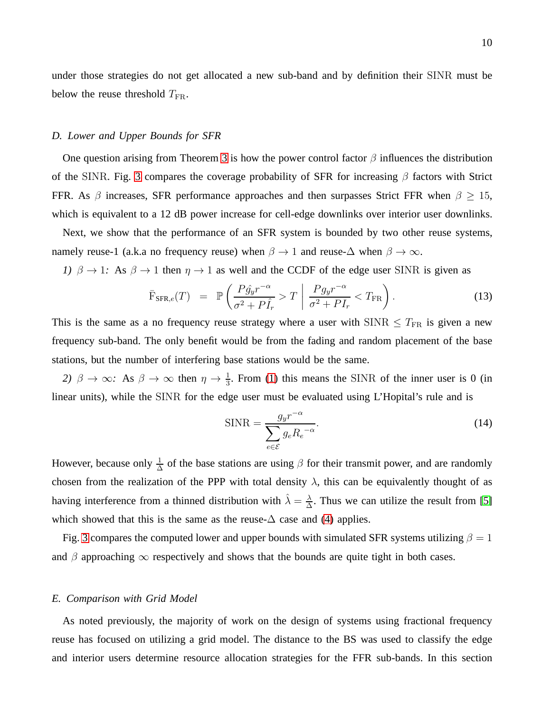under those strategies do not get allocated a new sub-band and by definition their SINR must be below the reuse threshold  $T_{\text{FR}}$ .

## *D. Lower and Upper Bounds for SFR*

One question arising from Theorem [3](#page-6-0) is how the power control factor  $\beta$  influences the distribution of the SINR. Fig. [3](#page-22-0) compares the coverage probability of SFR for increasing  $\beta$  factors with Strict FFR. As  $\beta$  increases, SFR performance approaches and then surpasses Strict FFR when  $\beta \geq 15$ , which is equivalent to a 12 dB power increase for cell-edge downlinks over interior user downlinks.

Next, we show that the performance of an SFR system is bounded by two other reuse systems, namely reuse-1 (a.k.a no frequency reuse) when  $\beta \to 1$  and reuse- $\Delta$  when  $\beta \to \infty$ .

*1)*  $\beta \rightarrow 1$ : As  $\beta \rightarrow 1$  then  $\eta \rightarrow 1$  as well and the CCDF of the edge user SINR is given as

$$
\bar{\mathrm{F}}_{\mathrm{SFR},e}(T) = \mathbb{P}\left(\frac{P\hat{g}_y r^{-\alpha}}{\sigma^2 + P\hat{I}_r} > T \middle| \frac{P g_y r^{-\alpha}}{\sigma^2 + P I_r} < T_{\mathrm{FR}}\right).
$$
\n(13)

This is the same as a no frequency reuse strategy where a user with  $SINR \leq T_{FR}$  is given a new frequency sub-band. The only benefit would be from the fading and random placement of the base stations, but the number of interfering base stations would be the same.

2)  $\beta \to \infty$ : As  $\beta \to \infty$  then  $\eta \to \frac{1}{3}$ . From [\(1\)](#page-3-0) this means the SINR of the inner user is 0 (in linear units), while the SINR for the edge user must be evaluated using L'Hopital's rule and is

$$
\text{SINR} = \frac{g_y r^{-\alpha}}{\sum_{e \in \mathcal{E}} g_e R_e^{-\alpha}}.
$$
\n(14)

However, because only  $\frac{1}{\Delta}$  of the base stations are using  $\beta$  for their transmit power, and are randomly chosen from the realization of the PPP with total density  $\lambda$ , this can be equivalently thought of as having interference from a thinned distribution with  $\hat{\lambda} = \frac{\lambda}{\Delta}$  $\frac{\lambda}{\Delta}$ . Thus we can utilize the result from [\[5\]](#page-19-4) which showed that this is the same as the reuse- $\Delta$  case and [\(4\)](#page-4-1) applies.

Fig. [3](#page-22-0) compares the computed lower and upper bounds with simulated SFR systems utilizing  $\beta = 1$ and  $\beta$  approaching  $\infty$  respectively and shows that the bounds are quite tight in both cases.

# *E. Comparison with Grid Model*

As noted previously, the majority of work on the design of systems using fractional frequency reuse has focused on utilizing a grid model. The distance to the BS was used to classify the edge and interior users determine resource allocation strategies for the FFR sub-bands. In this section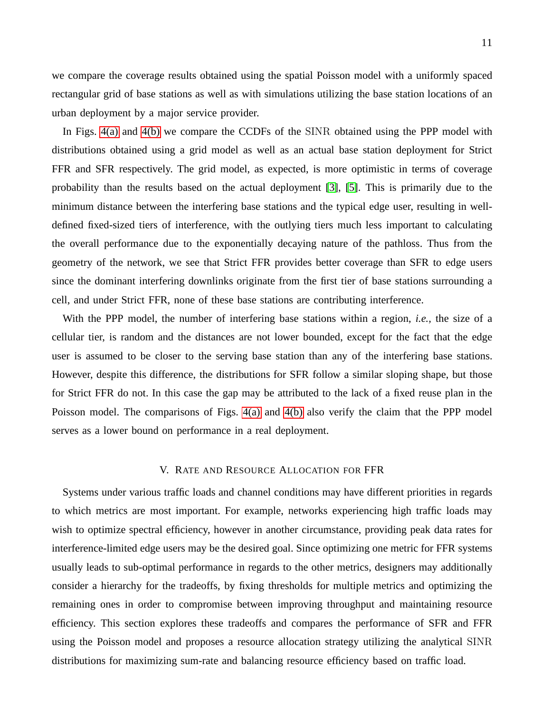we compare the coverage results obtained using the spatial Poisson model with a uniformly spaced rectangular grid of base stations as well as with simulations utilizing the base station locations of an urban deployment by a major service provider.

In Figs. [4\(a\)](#page-22-1) and [4\(b\)](#page-22-2) we compare the CCDFs of the SINR obtained using the PPP model with distributions obtained using a grid model as well as an actual base station deployment for Strict FFR and SFR respectively. The grid model, as expected, is more optimistic in terms of coverage probability than the results based on the actual deployment [\[3\]](#page-19-2), [\[5\]](#page-19-4). This is primarily due to the minimum distance between the interfering base stations and the typical edge user, resulting in welldefined fixed-sized tiers of interference, with the outlying tiers much less important to calculating the overall performance due to the exponentially decaying nature of the pathloss. Thus from the geometry of the network, we see that Strict FFR provides better coverage than SFR to edge users since the dominant interfering downlinks originate from the first tier of base stations surrounding a cell, and under Strict FFR, none of these base stations are contributing interference.

With the PPP model, the number of interfering base stations within a region, *i.e.,* the size of a cellular tier, is random and the distances are not lower bounded, except for the fact that the edge user is assumed to be closer to the serving base station than any of the interfering base stations. However, despite this difference, the distributions for SFR follow a similar sloping shape, but those for Strict FFR do not. In this case the gap may be attributed to the lack of a fixed reuse plan in the Poisson model. The comparisons of Figs. [4\(a\)](#page-22-1) and [4\(b\)](#page-22-2) also verify the claim that the PPP model serves as a lower bound on performance in a real deployment.

# V. RATE AND RESOURCE ALLOCATION FOR FFR

<span id="page-10-0"></span>Systems under various traffic loads and channel conditions may have different priorities in regards to which metrics are most important. For example, networks experiencing high traffic loads may wish to optimize spectral efficiency, however in another circumstance, providing peak data rates for interference-limited edge users may be the desired goal. Since optimizing one metric for FFR systems usually leads to sub-optimal performance in regards to the other metrics, designers may additionally consider a hierarchy for the tradeoffs, by fixing thresholds for multiple metrics and optimizing the remaining ones in order to compromise between improving throughput and maintaining resource efficiency. This section explores these tradeoffs and compares the performance of SFR and FFR using the Poisson model and proposes a resource allocation strategy utilizing the analytical SINR distributions for maximizing sum-rate and balancing resource efficiency based on traffic load.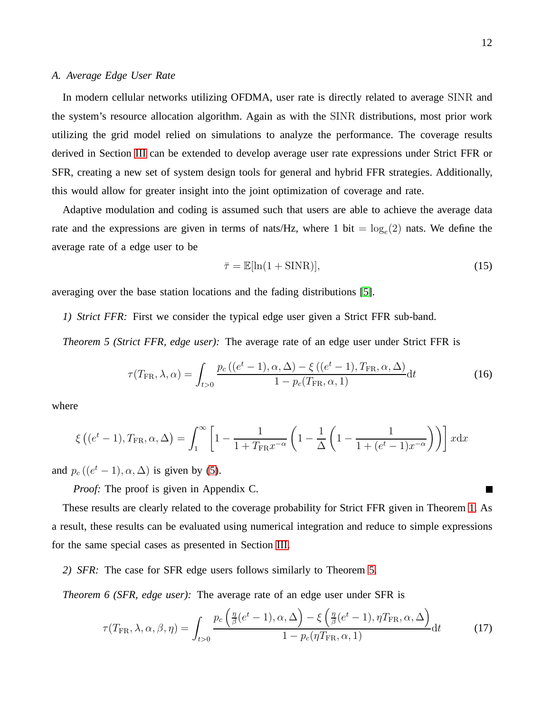## *A. Average Edge User Rate*

In modern cellular networks utilizing OFDMA, user rate is directly related to average SINR and the system's resource allocation algorithm. Again as with the SINR distributions, most prior work utilizing the grid model relied on simulations to analyze the performance. The coverage results derived in Section [III](#page-4-3) can be extended to develop average user rate expressions under Strict FFR or SFR, creating a new set of system design tools for general and hybrid FFR strategies. Additionally, this would allow for greater insight into the joint optimization of coverage and rate.

Adaptive modulation and coding is assumed such that users are able to achieve the average data rate and the expressions are given in terms of nats/Hz, where 1 bit =  $log_e(2)$  nats. We define the average rate of a edge user to be

<span id="page-11-1"></span><span id="page-11-0"></span>
$$
\bar{\tau} = \mathbb{E}[\ln(1 + \text{SINR})],\tag{15}
$$

averaging over the base station locations and the fading distributions [\[5\]](#page-19-4).

*1) Strict FFR:* First we consider the typical edge user given a Strict FFR sub-band.

*Theorem 5 (Strict FFR, edge user):* The average rate of an edge user under Strict FFR is

$$
\tau(T_{\rm FR}, \lambda, \alpha) = \int_{t>0} \frac{p_c\left((e^t - 1), \alpha, \Delta\right) - \xi\left((e^t - 1), T_{\rm FR}, \alpha, \Delta\right)}{1 - p_c(T_{\rm FR}, \alpha, 1)} dt \tag{16}
$$

where

$$
\xi\left((e^t-1), T_{\text{FR}}, \alpha, \Delta\right) = \int_1^\infty \left[1 - \frac{1}{1 + T_{\text{FR}}x^{-\alpha}} \left(1 - \frac{1}{\Delta}\left(1 - \frac{1}{1 + (e^t - 1)x^{-\alpha}}\right)\right)\right] x \, dx
$$

and  $p_c((e^t-1), \alpha, \Delta)$  is given by [\(5\)](#page-4-0).

*Proof:* The proof is given in Appendix C.

These results are clearly related to the coverage probability for Strict FFR given in Theorem [1.](#page-5-1) As a result, these results can be evaluated using numerical integration and reduce to simple expressions for the same special cases as presented in Section [III.](#page-4-3)

*2) SFR:* The case for SFR edge users follows similarly to Theorem [5.](#page-11-0)

*Theorem 6 (SFR, edge user):* The average rate of an edge user under SFR is

$$
\tau(T_{\text{FR}}, \lambda, \alpha, \beta, \eta) = \int_{t>0} \frac{p_c \left(\frac{\eta}{\beta}(e^t - 1), \alpha, \Delta\right) - \xi \left(\frac{\eta}{\beta}(e^t - 1), \eta T_{\text{FR}}, \alpha, \Delta\right)}{1 - p_c(\eta T_{\text{FR}}, \alpha, 1)} dt \tag{17}
$$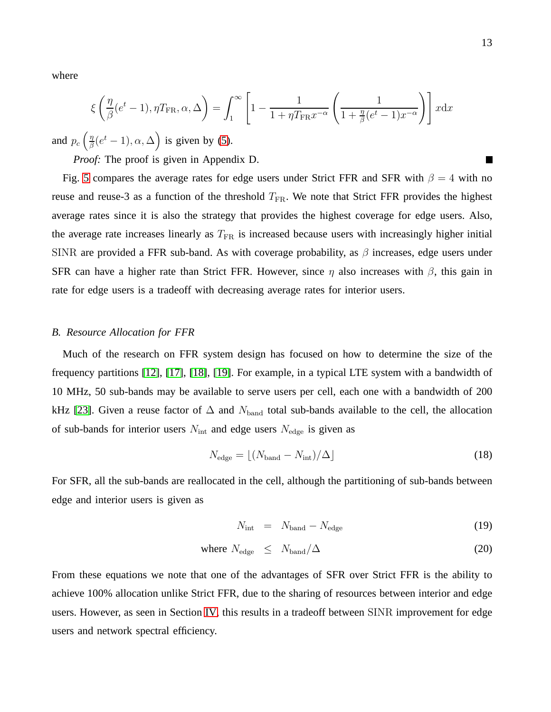where

$$
\xi\left(\frac{\eta}{\beta}(e^t - 1), \eta T_{\text{FR}}, \alpha, \Delta\right) = \int_1^\infty \left[1 - \frac{1}{1 + \eta T_{\text{FR}} x^{-\alpha}} \left(\frac{1}{1 + \frac{\eta}{\beta}(e^t - 1) x^{-\alpha}}\right)\right] x \, dx
$$

and  $p_c$   $\left(\frac{\eta}{\beta}\right)$  $\frac{\eta}{\beta}(e^t - 1), \alpha, \Delta$  is given by [\(5\)](#page-4-0).

*Proof:* The proof is given in Appendix D.

Fig. [5](#page-23-0) compares the average rates for edge users under Strict FFR and SFR with  $\beta = 4$  with no reuse and reuse-3 as a function of the threshold  $T_{FR}$ . We note that Strict FFR provides the highest average rates since it is also the strategy that provides the highest coverage for edge users. Also, the average rate increases linearly as  $T_{FR}$  is increased because users with increasingly higher initial SINR are provided a FFR sub-band. As with coverage probability, as  $\beta$  increases, edge users under SFR can have a higher rate than Strict FFR. However, since  $\eta$  also increases with  $\beta$ , this gain in rate for edge users is a tradeoff with decreasing average rates for interior users.

### *B. Resource Allocation for FFR*

Much of the research on FFR system design has focused on how to determine the size of the frequency partitions [\[12\]](#page-20-6), [\[17\]](#page-20-11), [\[18\]](#page-20-12), [\[19\]](#page-20-13). For example, in a typical LTE system with a bandwidth of 10 MHz, 50 sub-bands may be available to serve users per cell, each one with a bandwidth of 200 kHz [\[23\]](#page-20-17). Given a reuse factor of  $\Delta$  and  $N_{\text{band}}$  total sub-bands available to the cell, the allocation of sub-bands for interior users  $N_{\text{int}}$  and edge users  $N_{\text{edge}}$  is given as

$$
N_{\text{edge}} = \lfloor (N_{\text{band}} - N_{\text{int}}) / \Delta \rfloor \tag{18}
$$

For SFR, all the sub-bands are reallocated in the cell, although the partitioning of sub-bands between edge and interior users is given as

$$
N_{\rm int} = N_{\rm band} - N_{\rm edge} \tag{19}
$$

where 
$$
N_{\text{edge}} \leq N_{\text{band}}/\Delta
$$
 (20)

From these equations we note that one of the advantages of SFR over Strict FFR is the ability to achieve 100% allocation unlike Strict FFR, due to the sharing of resources between interior and edge users. However, as seen in Section [IV,](#page-7-1) this results in a tradeoff between SINR improvement for edge users and network spectral efficiency.

П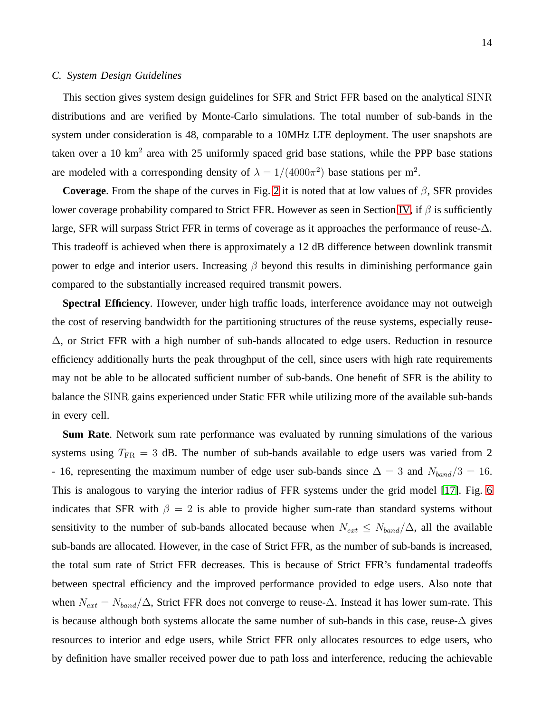#### *C. System Design Guidelines*

This section gives system design guidelines for SFR and Strict FFR based on the analytical SINR distributions and are verified by Monte-Carlo simulations. The total number of sub-bands in the system under consideration is 48, comparable to a 10MHz LTE deployment. The user snapshots are taken over a 10 km<sup>2</sup> area with 25 uniformly spaced grid base stations, while the PPP base stations are modeled with a corresponding density of  $\lambda = 1/(4000\pi^2)$  base stations per m<sup>2</sup>.

**Coverage**. From the shape of the curves in Fig. [2](#page-21-1) it is noted that at low values of  $\beta$ , SFR provides lower coverage probability compared to Strict FFR. However as seen in Section [IV,](#page-7-1) if  $\beta$  is sufficiently large, SFR will surpass Strict FFR in terms of coverage as it approaches the performance of reuse-∆. This tradeoff is achieved when there is approximately a 12 dB difference between downlink transmit power to edge and interior users. Increasing  $\beta$  beyond this results in diminishing performance gain compared to the substantially increased required transmit powers.

**Spectral Efficiency**. However, under high traffic loads, interference avoidance may not outweigh the cost of reserving bandwidth for the partitioning structures of the reuse systems, especially reuse- ∆, or Strict FFR with a high number of sub-bands allocated to edge users. Reduction in resource efficiency additionally hurts the peak throughput of the cell, since users with high rate requirements may not be able to be allocated sufficient number of sub-bands. One benefit of SFR is the ability to balance the SINR gains experienced under Static FFR while utilizing more of the available sub-bands in every cell.

**Sum Rate**. Network sum rate performance was evaluated by running simulations of the various systems using  $T_{FR} = 3$  dB. The number of sub-bands available to edge users was varied from 2 - 16, representing the maximum number of edge user sub-bands since  $\Delta = 3$  and  $N_{band}/3 = 16$ . This is analogous to varying the interior radius of FFR systems under the grid model [\[17\]](#page-20-11). Fig. [6](#page-23-1) indicates that SFR with  $\beta = 2$  is able to provide higher sum-rate than standard systems without sensitivity to the number of sub-bands allocated because when  $N_{ext} \leq N_{band}/\Delta$ , all the available sub-bands are allocated. However, in the case of Strict FFR, as the number of sub-bands is increased, the total sum rate of Strict FFR decreases. This is because of Strict FFR's fundamental tradeoffs between spectral efficiency and the improved performance provided to edge users. Also note that when  $N_{ext} = N_{band}/\Delta$ , Strict FFR does not converge to reuse- $\Delta$ . Instead it has lower sum-rate. This is because although both systems allocate the same number of sub-bands in this case, reuse-∆ gives resources to interior and edge users, while Strict FFR only allocates resources to edge users, who by definition have smaller received power due to path loss and interference, reducing the achievable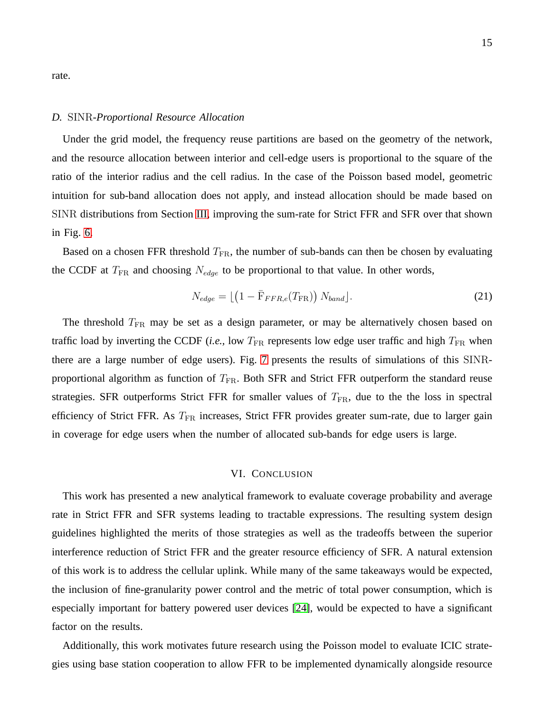rate.

### *D.* SINR*-Proportional Resource Allocation*

Under the grid model, the frequency reuse partitions are based on the geometry of the network, and the resource allocation between interior and cell-edge users is proportional to the square of the ratio of the interior radius and the cell radius. In the case of the Poisson based model, geometric intuition for sub-band allocation does not apply, and instead allocation should be made based on SINR distributions from Section [III,](#page-4-3) improving the sum-rate for Strict FFR and SFR over that shown in Fig. [6.](#page-23-1)

Based on a chosen FFR threshold  $T_{FR}$ , the number of sub-bands can then be chosen by evaluating the CCDF at  $T_{FR}$  and choosing  $N_{edge}$  to be proportional to that value. In other words,

$$
N_{edge} = \lfloor \left( 1 - \bar{F}_{FFR,e}(T_{\text{FR}}) \right) N_{band} \rfloor. \tag{21}
$$

The threshold  $T_{FR}$  may be set as a design parameter, or may be alternatively chosen based on traffic load by inverting the CCDF (*i.e.*, low  $T_{FR}$  represents low edge user traffic and high  $T_{FR}$  when there are a large number of edge users). Fig. [7](#page-24-0) presents the results of simulations of this SINRproportional algorithm as function of  $T_{FR}$ . Both SFR and Strict FFR outperform the standard reuse strategies. SFR outperforms Strict FFR for smaller values of  $T_{FR}$ , due to the the loss in spectral efficiency of Strict FFR. As T<sub>FR</sub> increases, Strict FFR provides greater sum-rate, due to larger gain in coverage for edge users when the number of allocated sub-bands for edge users is large.

## VI. CONCLUSION

This work has presented a new analytical framework to evaluate coverage probability and average rate in Strict FFR and SFR systems leading to tractable expressions. The resulting system design guidelines highlighted the merits of those strategies as well as the tradeoffs between the superior interference reduction of Strict FFR and the greater resource efficiency of SFR. A natural extension of this work is to address the cellular uplink. While many of the same takeaways would be expected, the inclusion of fine-granularity power control and the metric of total power consumption, which is especially important for battery powered user devices [\[24\]](#page-20-18), would be expected to have a significant factor on the results.

Additionally, this work motivates future research using the Poisson model to evaluate ICIC strategies using base station cooperation to allow FFR to be implemented dynamically alongside resource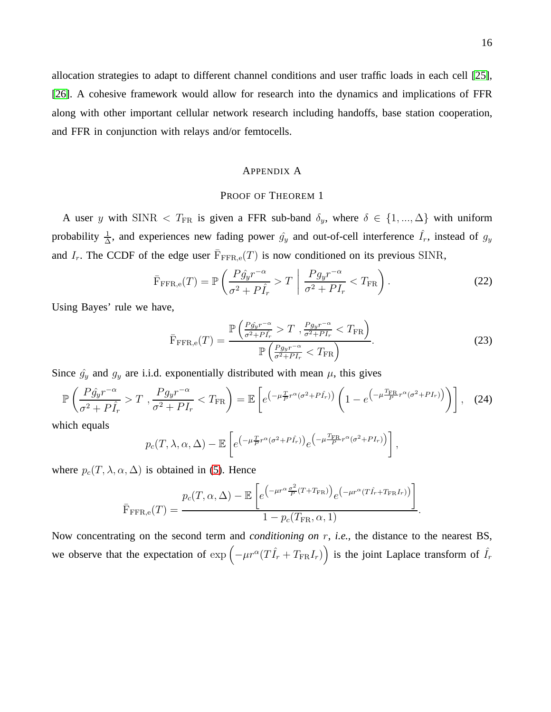allocation strategies to adapt to different channel conditions and user traffic loads in each cell [\[25\]](#page-20-19), [\[26\]](#page-20-20). A cohesive framework would allow for research into the dynamics and implications of FFR along with other important cellular network research including handoffs, base station cooperation, and FFR in conjunction with relays and/or femtocells.

#### APPENDIX A

# PROOF OF THEOREM 1

A user y with SINR  $\langle T_{FR}$  is given a FFR sub-band  $\delta_y$ , where  $\delta \in \{1, ..., \Delta\}$  with uniform probability  $\frac{1}{\Delta}$ , and experiences new fading power  $\hat{g}_y$  and out-of-cell interference  $\hat{I}_r$ , instead of  $g_y$ and  $I_r$ . The CCDF of the edge user  $\overline{F}_{\text{FFR,e}}(T)$  is now conditioned on its previous SINR,

$$
\bar{\mathrm{F}}_{\mathrm{FFR},e}(T) = \mathbb{P}\left(\frac{P\hat{g}_y r^{-\alpha}}{\sigma^2 + P\hat{I}_r} > T \middle| \frac{P g_y r^{-\alpha}}{\sigma^2 + P I_r} < T_{\mathrm{FR}}\right).
$$
\n(22)

Using Bayes' rule we have,

$$
\bar{\mathrm{F}}_{\mathrm{FFR,e}}(T) = \frac{\mathbb{P}\left(\frac{Pg_{y}r^{-\alpha}}{\sigma^2 + P\hat{I}_r} > T, \frac{Pg_{y}r^{-\alpha}}{\sigma^2 + P\hat{I}_r} < T_{\mathrm{FR}}\right)}{\mathbb{P}\left(\frac{Pg_{y}r^{-\alpha}}{\sigma^2 + P\hat{I}_r} < T_{\mathrm{FR}}\right)}.
$$
\n
$$
(23)
$$

Since  $\hat{g}_y$  and  $g_y$  are i.i.d. exponentially distributed with mean  $\mu$ , this gives

$$
\mathbb{P}\left(\frac{P\hat{g}_y r^{-\alpha}}{\sigma^2 + P\hat{I}_r} > T, \frac{P g_y r^{-\alpha}}{\sigma^2 + P I_r} < T_{\text{FR}}\right) = \mathbb{E}\left[e^{\left(-\mu \frac{T}{P} r^{\alpha} (\sigma^2 + P\hat{I}_r)\right)} \left(1 - e^{\left(-\mu \frac{T_{\text{FR}}}{P} r^{\alpha} (\sigma^2 + P I_r)\right)}\right)\right], (24)
$$

which equals

$$
p_c(T, \lambda, \alpha, \Delta) - \mathbb{E}\left[e^{\left(-\mu \frac{T}{P}r^{\alpha}(\sigma^2 + P\hat{I}_r)\right)}e^{\left(-\mu \frac{T_{\text{FR}}}{P}r^{\alpha}(\sigma^2 + PI_r)\right)}\right],
$$

where  $p_c(T, \lambda, \alpha, \Delta)$  is obtained in [\(5\)](#page-4-0). Hence

$$
\bar{F}_{\text{FFR,e}}(T) = \frac{p_c(T, \alpha, \Delta) - \mathbb{E}\left[e^{\left(-\mu r^{\alpha} \frac{\sigma^2}{P}(T + T_{\text{FR}})\right)} e^{\left(-\mu r^{\alpha} (T\hat{I}_r + T_{\text{FR}} I_r)\right)}\right]}{1 - p_c(T_{\text{FR}}, \alpha, 1)}.
$$

Now concentrating on the second term and *conditioning on* r, *i.e.,* the distance to the nearest BS, we observe that the expectation of  $\exp\left(-\mu r^{\alpha}(T\hat{I}_r + T_{FR}I_r)\right)$  is the joint Laplace transform of  $\hat{I}_r$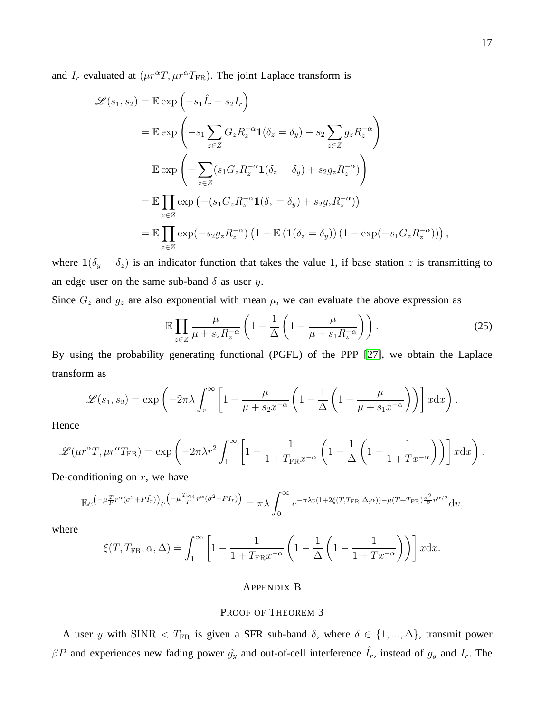and  $I_r$  evaluated at  $(\mu r^{\alpha}T, \mu r^{\alpha}T_{FR})$ . The joint Laplace transform is

$$
\mathcal{L}(s_1, s_2) = \mathbb{E} \exp\left(-s_1 \hat{I}_r - s_2 I_r\right)
$$
  
\n
$$
= \mathbb{E} \exp\left(-s_1 \sum_{z \in Z} G_z R_z^{-\alpha} \mathbf{1}(\delta_z = \delta_y) - s_2 \sum_{z \in Z} g_z R_z^{-\alpha}\right)
$$
  
\n
$$
= \mathbb{E} \exp\left(-\sum_{z \in Z} (s_1 G_z R_z^{-\alpha} \mathbf{1}(\delta_z = \delta_y) + s_2 g_z R_z^{-\alpha})\right)
$$
  
\n
$$
= \mathbb{E} \prod_{z \in Z} \exp\left(-(s_1 G_z R_z^{-\alpha} \mathbf{1}(\delta_z = \delta_y) + s_2 g_z R_z^{-\alpha})\right)
$$
  
\n
$$
= \mathbb{E} \prod_{z \in Z} \exp(-s_2 g_z R_z^{-\alpha}) \left(1 - \mathbb{E} \left(\mathbf{1}(\delta_z = \delta_y)\right) \left(1 - \exp(-s_1 G_z R_z^{-\alpha})\right)\right),
$$

where  $1(\delta_y = \delta_z)$  is an indicator function that takes the value 1, if base station z is transmitting to an edge user on the same sub-band  $\delta$  as user y.

Since  $G_z$  and  $g_z$  are also exponential with mean  $\mu$ , we can evaluate the above expression as

<span id="page-16-0"></span>
$$
\mathbb{E}\prod_{z\in Z}\frac{\mu}{\mu+s_2R_z^{-\alpha}}\left(1-\frac{1}{\Delta}\left(1-\frac{\mu}{\mu+s_1R_z^{-\alpha}}\right)\right). \tag{25}
$$

By using the probability generating functional (PGFL) of the PPP [\[27\]](#page-20-21), we obtain the Laplace transform as

$$
\mathscr{L}(s_1, s_2) = \exp\left(-2\pi\lambda \int_r^{\infty} \left[1 - \frac{\mu}{\mu + s_2 x^{-\alpha}} \left(1 - \frac{1}{\Delta}\left(1 - \frac{\mu}{\mu + s_1 x^{-\alpha}}\right)\right)\right] x \, dx\right).
$$

Hence

$$
\mathscr{L}(\mu r^{\alpha} T, \mu r^{\alpha} T_{\text{FR}}) = \exp\left(-2\pi \lambda r^2 \int_1^{\infty} \left[1 - \frac{1}{1 + T_{\text{FR}} x^{-\alpha}} \left(1 - \frac{1}{\Delta} \left(1 - \frac{1}{1 + T x^{-\alpha}}\right)\right)\right] x \, dx\right).
$$

De-conditioning on  $r$ , we have

$$
\mathbb{E}e^{(-\mu \frac{T}{P}r^{\alpha}(\sigma^2+P\hat{I}_r))}e^{-\mu \frac{T_{\text{FR}}}{P}r^{\alpha}(\sigma^2+PI_r)} = \pi\lambda \int_0^{\infty} e^{-\pi\lambda v(1+2\xi(T,T_{\text{FR}},\Delta,\alpha))-\mu(T+T_{\text{FR}})\frac{\sigma^2}{P}v^{\alpha/2}}dv,
$$

where

$$
\xi(T, T_{\text{FR}}, \alpha, \Delta) = \int_1^{\infty} \left[ 1 - \frac{1}{1 + T_{\text{FR}} x^{-\alpha}} \left( 1 - \frac{1}{\Delta} \left( 1 - \frac{1}{1 + T x^{-\alpha}} \right) \right) \right] x \, dx.
$$

# APPENDIX B

# PROOF OF THEOREM 3

A user y with SINR  $\langle T_{FR}$  is given a SFR sub-band  $\delta$ , where  $\delta \in \{1, ..., \Delta\}$ , transmit power  $\beta P$  and experiences new fading power  $\hat{g}_y$  and out-of-cell interference  $\hat{I}_r$ , instead of  $g_y$  and  $I_r$ . The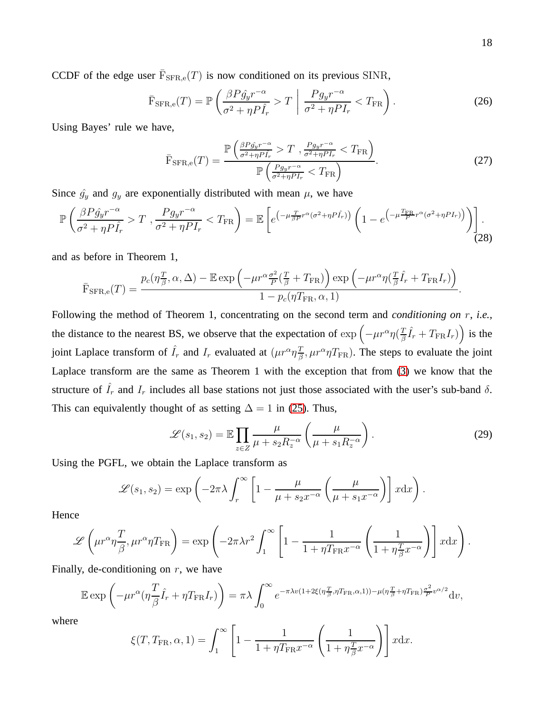CCDF of the edge user  $\overline{F}_{\text{SFR,e}}(T)$  is now conditioned on its previous SINR,

$$
\bar{\mathbf{F}}_{\text{SFR},e}(T) = \mathbb{P}\left(\frac{\beta P \hat{g}_y r^{-\alpha}}{\sigma^2 + \eta P \hat{I}_r} > T \middle| \frac{P g_y r^{-\alpha}}{\sigma^2 + \eta P I_r} < T_{\text{FR}}\right).
$$
\n(26)

Using Bayes' rule we have,

$$
\bar{\mathrm{F}}_{\mathrm{SFR},\mathrm{e}}(T) = \frac{\mathbb{P}\left(\frac{\beta P \hat{g}_y r^{-\alpha}}{\sigma^2 + \eta P I_r} > T, \frac{P g_y r^{-\alpha}}{\sigma^2 + \eta P I_r} < T_{\mathrm{FR}}\right)}{\mathbb{P}\left(\frac{P g_y r^{-\alpha}}{\sigma^2 + \eta P I_r} < T_{\mathrm{FR}}\right)}.\tag{27}
$$

Since  $\hat{g}_y$  and  $g_y$  are exponentially distributed with mean  $\mu$ , we have

$$
\mathbb{P}\left(\frac{\beta P \hat{g}_y r^{-\alpha}}{\sigma^2 + \eta P \hat{I}_r} > T, \frac{P g_y r^{-\alpha}}{\sigma^2 + \eta P I_r} < T_{\text{FR}}\right) = \mathbb{E}\left[e^{\left(-\mu \frac{T}{\beta P} r^{\alpha} (\sigma^2 + \eta P \hat{I}_r)\right)} \left(1 - e^{\left(-\mu \frac{T_{\text{FR}}}{P} r^{\alpha} (\sigma^2 + \eta P I_r)\right)}\right)\right].
$$
\n(28)

and as before in Theorem 1,

$$
\bar{\mathrm{F}}_{\mathrm{SFR},e}(T) = \frac{p_c(\eta \frac{T}{\beta}, \alpha, \Delta) - \mathbb{E} \exp\left(-\mu r^{\alpha} \frac{\sigma^2}{P} \left(\frac{T}{\beta} + T_{\mathrm{FR}}\right)\right) \exp\left(-\mu r^{\alpha} \eta \left(\frac{T}{\beta} \hat{I}_r + T_{\mathrm{FR}} I_r\right)\right)}{1 - p_c(\eta T_{\mathrm{FR}}, \alpha, 1)}.
$$

Following the method of Theorem 1, concentrating on the second term and *conditioning on* r, *i.e.,* the distance to the nearest BS, we observe that the expectation of  $\exp\left(-\mu r^{\alpha}\eta\left(\frac{T_{\beta}}{\beta}\right)\right)$  $\frac{T}{\beta}\hat{I}_r + T_{\text{FR}}I_r)\right)$  is the joint Laplace transform of  $\hat{I}_r$  and  $I_r$  evaluated at  $(\mu r^{\alpha} \eta \frac{T}{\beta})$  $\frac{T}{\beta}$ ,  $\mu r^{\alpha} \eta T_{\text{FR}}$ ). The steps to evaluate the joint Laplace transform are the same as Theorem 1 with the exception that from [\(3\)](#page-4-2) we know that the structure of  $\hat{I}_r$  and  $I_r$  includes all base stations not just those associated with the user's sub-band  $\delta$ . This can equivalently thought of as setting  $\Delta = 1$  in [\(25\)](#page-16-0). Thus,

$$
\mathcal{L}(s_1, s_2) = \mathbb{E} \prod_{z \in Z} \frac{\mu}{\mu + s_2 R_z^{-\alpha}} \left( \frac{\mu}{\mu + s_1 R_z^{-\alpha}} \right).
$$
 (29)

Using the PGFL, we obtain the Laplace transform as

$$
\mathscr{L}(s_1, s_2) = \exp\left(-2\pi\lambda \int_r^{\infty} \left[1 - \frac{\mu}{\mu + s_2 x^{-\alpha}} \left(\frac{\mu}{\mu + s_1 x^{-\alpha}}\right)\right] x \mathrm{d}x\right).
$$

Hence

$$
\mathscr{L}\left(\mu r^{\alpha}\eta \frac{T}{\beta},\mu r^{\alpha}\eta T_{\text{FR}}\right) = \exp\left(-2\pi\lambda r^2 \int_1^{\infty} \left[1 - \frac{1}{1 + \eta T_{\text{FR}}x^{-\alpha}} \left(\frac{1}{1 + \eta \frac{T}{\beta}x^{-\alpha}}\right)\right] x \mathrm{d}x\right).
$$

Finally, de-conditioning on  $r$ , we have

$$
\mathbb{E} \exp\left(-\mu r^{\alpha} \left(\eta \frac{T}{\beta}\hat{I}_r + \eta T_{\mathrm{FR}} I_r\right)\right) = \pi \lambda \int_0^{\infty} e^{-\pi \lambda v (1 + 2\xi \left(\eta \frac{T}{\beta}, \eta T_{\mathrm{FR}}, \alpha, 1\right)) - \mu \left(\eta \frac{T}{\beta} + \eta T_{\mathrm{FR}}\right) \frac{\sigma^2}{P} v^{\alpha/2}} dv,
$$

where

$$
\xi(T, T_{\text{FR}}, \alpha, 1) = \int_1^{\infty} \left[ 1 - \frac{1}{1 + \eta T_{\text{FR}} x^{-\alpha}} \left( \frac{1}{1 + \eta \frac{T}{\beta} x^{-\alpha}} \right) \right] x \, dx.
$$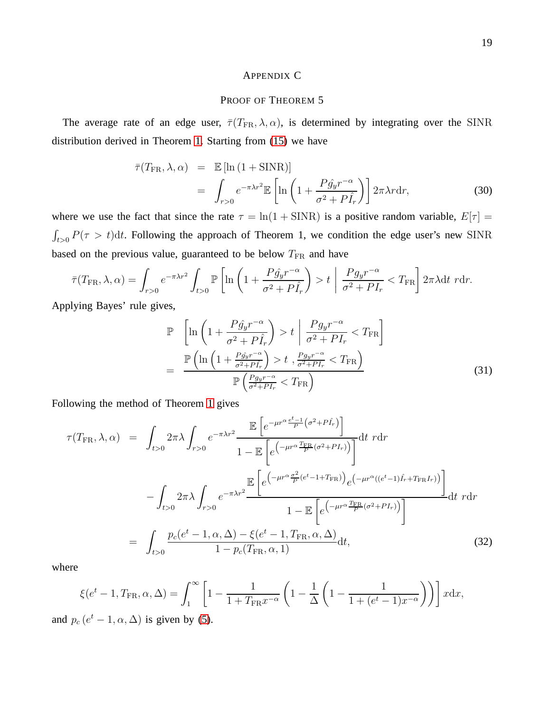# APPENDIX C

# PROOF OF THEOREM 5

The average rate of an edge user,  $\bar{\tau}(T_{\text{FR}}, \lambda, \alpha)$ , is determined by integrating over the SINR distribution derived in Theorem [1.](#page-5-1) Starting from [\(15\)](#page-11-1) we have

$$
\bar{\tau}(T_{\text{FR}}, \lambda, \alpha) = \mathbb{E} [\ln (1 + \text{SINR})]
$$
  
= 
$$
\int_{r>0} e^{-\pi \lambda r^2} \mathbb{E} \left[ \ln \left( 1 + \frac{P \hat{g}_y r^{-\alpha}}{\sigma^2 + P \hat{I}_r} \right) \right] 2\pi \lambda r dr,
$$
 (30)

where we use the fact that since the rate  $\tau = \ln(1 + \text{SINR})$  is a positive random variable,  $E[\tau] =$  $\int_{t>0} P(\tau > t) dt$ . Following the approach of Theorem 1, we condition the edge user's new SINR based on the previous value, guaranteed to be below  $T_{\text{FR}}$  and have

$$
\bar{\tau}(T_{\text{FR}}, \lambda, \alpha) = \int_{r>0} e^{-\pi\lambda r^2} \int_{t>0} \mathbb{P}\left[\ln\left(1 + \frac{P\hat{g}_y r^{-\alpha}}{\sigma^2 + P\hat{I}_r}\right) > t \mid \frac{P g_y r^{-\alpha}}{\sigma^2 + P I_r} < T_{\text{FR}}\right] 2\pi\lambda \, \mathrm{d}t \, r \, \mathrm{d}r.
$$

Applying Bayes' rule gives,

$$
\mathbb{P}\left[\ln\left(1+\frac{P\hat{g}_y r^{-\alpha}}{\sigma^2+P\hat{I}_r}\right) > t\middle|\frac{P g_y r^{-\alpha}}{\sigma^2+P I_r} < T_{\text{FR}}\right]
$$
\n
$$
=\frac{\mathbb{P}\left(\ln\left(1+\frac{P\hat{g}_y r^{-\alpha}}{\sigma^2+P\hat{I}_r}\right) > t\right), \frac{P g_y r^{-\alpha}}{\sigma^2+P I_r} < T_{\text{FR}}\right)}{\mathbb{P}\left(\frac{P g_y r^{-\alpha}}{\sigma^2+P I_r} < T_{\text{FR}}\right)}\tag{31}
$$

Following the method of Theorem [1](#page-5-1) gives

$$
\tau(T_{\rm FR}, \lambda, \alpha) = \int_{t>0} 2\pi \lambda \int_{r>0} e^{-\pi \lambda r^2} \frac{\mathbb{E}\left[e^{-\mu r^{\alpha} \frac{e^t - 1}{P} (\sigma^2 + P \hat{I}_r)}\right]}{1 - \mathbb{E}\left[e^{\left(-\mu r^{\alpha} \frac{T_{\rm FR}}{P} (\sigma^2 + P I_r)\right)}\right]} dt \ r dr
$$
\n
$$
- \int_{t>0} 2\pi \lambda \int_{r>0} e^{-\pi \lambda r^2} \frac{\mathbb{E}\left[e^{\left(-\mu r^{\alpha} \frac{\sigma^2}{P} (e^t - 1 + T_{\rm FR})\right)} e^{\left(-\mu r^{\alpha} ((e^t - 1)\hat{I}_r + T_{\rm FR} I_r)\right)}\right]}{1 - \mathbb{E}\left[e^{\left(-\mu r^{\alpha} \frac{T_{\rm FR}}{P} (\sigma^2 + P I_r)\right)}\right]} dt \ r dr
$$
\n
$$
= \int_{t>0} \frac{p_c(e^t - 1, \alpha, \Delta) - \xi(e^t - 1, T_{\rm FR}, \alpha, \Delta)}{1 - p_c(T_{\rm FR}, \alpha, 1)} dt,
$$
\n(32)

where

$$
\xi(e^t - 1, T_{\text{FR}}, \alpha, \Delta) = \int_1^{\infty} \left[ 1 - \frac{1}{1 + T_{\text{FR}} x^{-\alpha}} \left( 1 - \frac{1}{\Delta} \left( 1 - \frac{1}{1 + (e^t - 1) x^{-\alpha}} \right) \right) \right] x \, dx,
$$

and  $p_c(e^t - 1, \alpha, \Delta)$  is given by [\(5\)](#page-4-0).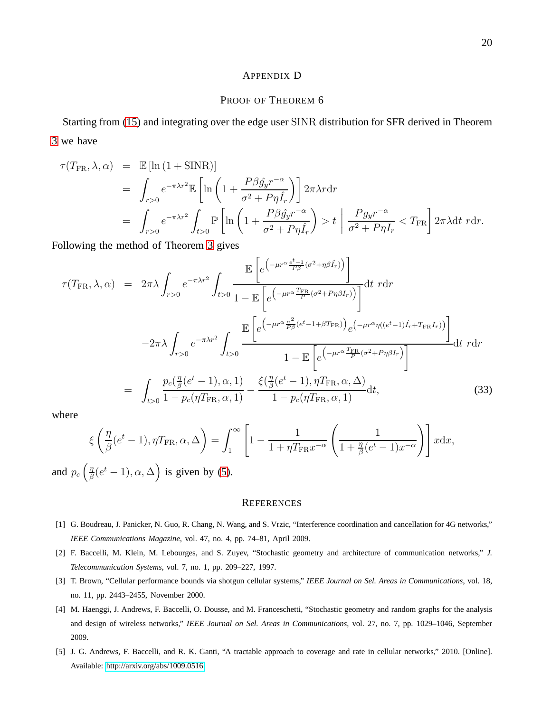#### APPENDIX D

## PROOF OF THEOREM 6

Starting from [\(15\)](#page-11-1) and integrating over the edge user SINR distribution for SFR derived in Theorem [3](#page-6-0) we have

$$
\tau(T_{\text{FR}}, \lambda, \alpha) = \mathbb{E} [\ln (1 + \text{SINR})]
$$
  
\n
$$
= \int_{r>0} e^{-\pi \lambda r^2} \mathbb{E} \left[ \ln \left( 1 + \frac{P \beta \hat{g}_y r^{-\alpha}}{\sigma^2 + P \eta \hat{I}_r} \right) \right] 2\pi \lambda r dr
$$
  
\n
$$
= \int_{r>0} e^{-\pi \lambda r^2} \int_{t>0} \mathbb{P} \left[ \ln \left( 1 + \frac{P \beta \hat{g}_y r^{-\alpha}}{\sigma^2 + P \eta \hat{I}_r} \right) > t \right] \frac{P g_y r^{-\alpha}}{\sigma^2 + P \eta I_r} < T_{\text{FR}} \right] 2\pi \lambda dt \ r dr.
$$

Following the method of Theorem [3](#page-6-0) gives

$$
\tau(T_{\rm FR}, \lambda, \alpha) = 2\pi \lambda \int_{r>0} e^{-\pi\lambda r^2} \int_{t>0} \frac{\mathbb{E}\left[e^{\left(-\mu r^{\alpha} \frac{e^t - 1}{P\beta} (\sigma^2 + \eta \beta \hat{I}_r)\right)}\right]}{1 - \mathbb{E}\left[e^{\left(-\mu r^{\alpha} \frac{T_{\rm FR}}{P} (\sigma^2 + P\eta \beta I_r)\right)}\right]} dt \, r dr
$$

$$
-2\pi \lambda \int_{r>0} e^{-\pi\lambda r^2} \int_{t>0} \frac{\mathbb{E}\left[e^{\left(-\mu r^{\alpha} \frac{\sigma^2}{P\beta} (e^t - 1 + \beta T_{\rm FR})\right)}\right] e^{\left(-\mu r^{\alpha} \eta ((e^t - 1)\hat{I}_r + T_{\rm FR}I_r)\right)}\right]}{1 - \mathbb{E}\left[e^{\left(-\mu r^{\alpha} \frac{T_{\rm FR}}{P} (\sigma^2 + P\eta \beta I_r)\right)}\right]} dt \, r dr
$$

$$
= \int_{t>0} \frac{p_c(\frac{\eta}{\beta}(e^t - 1), \alpha, 1)}{1 - p_c(\eta T_{\rm FR}, \alpha, 1)} - \frac{\xi(\frac{\eta}{\beta}(e^t - 1), \eta T_{\rm FR}, \alpha, \Delta)}{1 - p_c(\eta T_{\rm FR}, \alpha, 1)} dt,
$$
(33)

where

$$
\xi \left( \frac{\eta}{\beta} (e^t - 1), \eta T_{\text{FR}}, \alpha, \Delta \right) = \int_1^\infty \left[ 1 - \frac{1}{1 + \eta T_{\text{FR}} x^{-\alpha}} \left( \frac{1}{1 + \frac{\eta}{\beta} (e^t - 1) x^{-\alpha}} \right) \right] x \, dx,
$$

and  $p_c$   $\left(\frac{\eta}{\beta}\right)$  $\frac{\eta}{\beta}(e^t - 1), \alpha, \Delta$  is given by [\(5\)](#page-4-0).

#### **REFERENCES**

- <span id="page-19-1"></span><span id="page-19-0"></span>[1] G. Boudreau, J. Panicker, N. Guo, R. Chang, N. Wang, and S. Vrzic, "Interference coordination and cancellation for 4G networks," *IEEE Communications Magazine*, vol. 47, no. 4, pp. 74–81, April 2009.
- <span id="page-19-2"></span>[2] F. Baccelli, M. Klein, M. Lebourges, and S. Zuyev, "Stochastic geometry and architecture of communication networks," *J. Telecommunication Systems*, vol. 7, no. 1, pp. 209–227, 1997.
- <span id="page-19-3"></span>[3] T. Brown, "Cellular performance bounds via shotgun cellular systems," *IEEE Journal on Sel. Areas in Communications*, vol. 18, no. 11, pp. 2443–2455, November 2000.
- [4] M. Haenggi, J. Andrews, F. Baccelli, O. Dousse, and M. Franceschetti, "Stochastic geometry and random graphs for the analysis and design of wireless networks," *IEEE Journal on Sel. Areas in Communications*, vol. 27, no. 7, pp. 1029–1046, September 2009.
- <span id="page-19-4"></span>[5] J. G. Andrews, F. Baccelli, and R. K. Ganti, "A tractable approach to coverage and rate in cellular networks," 2010. [Online]. Available:<http://arxiv.org/abs/1009.0516>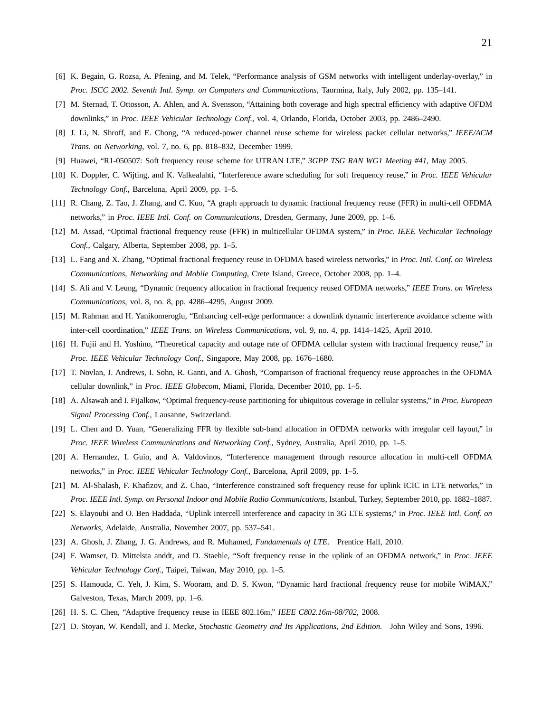- <span id="page-20-1"></span><span id="page-20-0"></span>[6] K. Begain, G. Rozsa, A. Pfening, and M. Telek, "Performance analysis of GSM networks with intelligent underlay-overlay," in *Proc. ISCC 2002. Seventh Intl. Symp. on Computers and Communications*, Taormina, Italy, July 2002, pp. 135–141.
- <span id="page-20-2"></span>[7] M. Sternad, T. Ottosson, A. Ahlen, and A. Svensson, "Attaining both coverage and high spectral efficiency with adaptive OFDM downlinks," in *Proc. IEEE Vehicular Technology Conf.*, vol. 4, Orlando, Florida, October 2003, pp. 2486–2490.
- <span id="page-20-3"></span>[8] J. Li, N. Shroff, and E. Chong, "A reduced-power channel reuse scheme for wireless packet cellular networks," *IEEE/ACM Trans. on Networking*, vol. 7, no. 6, pp. 818–832, December 1999.
- <span id="page-20-4"></span>[9] Huawei, "R1-050507: Soft frequency reuse scheme for UTRAN LTE," *3GPP TSG RAN WG1 Meeting #41*, May 2005.
- <span id="page-20-5"></span>[10] K. Doppler, C. Wijting, and K. Valkealahti, "Interference aware scheduling for soft frequency reuse," in *Proc. IEEE Vehicular Technology Conf.*, Barcelona, April 2009, pp. 1–5.
- <span id="page-20-6"></span>[11] R. Chang, Z. Tao, J. Zhang, and C. Kuo, "A graph approach to dynamic fractional frequency reuse (FFR) in multi-cell OFDMA networks," in *Proc. IEEE Intl. Conf. on Communications*, Dresden, Germany, June 2009, pp. 1–6.
- <span id="page-20-7"></span>[12] M. Assad, "Optimal fractional frequency reuse (FFR) in multicellular OFDMA system," in *Proc. IEEE Vechicular Technology Conf.*, Calgary, Alberta, September 2008, pp. 1–5.
- <span id="page-20-8"></span>[13] L. Fang and X. Zhang, "Optimal fractional frequency reuse in OFDMA based wireless networks," in *Proc. Intl. Conf. on Wireless Communications, Networking and Mobile Computing*, Crete Island, Greece, October 2008, pp. 1–4.
- <span id="page-20-9"></span>[14] S. Ali and V. Leung, "Dynamic frequency allocation in fractional frequency reused OFDMA networks," *IEEE Trans. on Wireless Communications*, vol. 8, no. 8, pp. 4286–4295, August 2009.
- <span id="page-20-10"></span>[15] M. Rahman and H. Yanikomeroglu, "Enhancing cell-edge performance: a downlink dynamic interference avoidance scheme with inter-cell coordination," *IEEE Trans. on Wireless Communications*, vol. 9, no. 4, pp. 1414–1425, April 2010.
- <span id="page-20-11"></span>[16] H. Fujii and H. Yoshino, "Theoretical capacity and outage rate of OFDMA cellular system with fractional frequency reuse," in *Proc. IEEE Vehicular Technology Conf.*, Singapore, May 2008, pp. 1676–1680.
- <span id="page-20-12"></span>[17] T. Novlan, J. Andrews, I. Sohn, R. Ganti, and A. Ghosh, "Comparison of fractional frequency reuse approaches in the OFDMA cellular downlink," in *Proc. IEEE Globecom*, Miami, Florida, December 2010, pp. 1–5.
- <span id="page-20-13"></span>[18] A. Alsawah and I. Fijalkow, "Optimal frequency-reuse partitioning for ubiquitous coverage in cellular systems," in *Proc. European Signal Processing Conf.*, Lausanne, Switzerland.
- <span id="page-20-14"></span>[19] L. Chen and D. Yuan, "Generalizing FFR by flexible sub-band allocation in OFDMA networks with irregular cell layout," in *Proc. IEEE Wireless Communications and Networking Conf.*, Sydney, Australia, April 2010, pp. 1–5.
- <span id="page-20-15"></span>[20] A. Hernandez, I. Guio, and A. Valdovinos, "Interference management through resource allocation in multi-cell OFDMA networks," in *Proc. IEEE Vehicular Technology Conf.*, Barcelona, April 2009, pp. 1–5.
- <span id="page-20-16"></span>[21] M. Al-Shalash, F. Khafizov, and Z. Chao, "Interference constrained soft frequency reuse for uplink ICIC in LTE networks," in *Proc. IEEE Intl. Symp. on Personal Indoor and Mobile Radio Communications*, Istanbul, Turkey, September 2010, pp. 1882–1887.
- <span id="page-20-17"></span>[22] S. Elayoubi and O. Ben Haddada, "Uplink intercell interference and capacity in 3G LTE systems," in *Proc. IEEE Intl. Conf. on Networks*, Adelaide, Australia, November 2007, pp. 537–541.
- <span id="page-20-18"></span>[23] A. Ghosh, J. Zhang, J. G. Andrews, and R. Muhamed, *Fundamentals of LTE*. Prentice Hall, 2010.
- <span id="page-20-19"></span>[24] F. Wamser, D. Mittelsta anddt, and D. Staehle, "Soft frequency reuse in the uplink of an OFDMA network," in *Proc. IEEE Vehicular Technology Conf.*, Taipei, Taiwan, May 2010, pp. 1–5.
- <span id="page-20-20"></span>[25] S. Hamouda, C. Yeh, J. Kim, S. Wooram, and D. S. Kwon, "Dynamic hard fractional frequency reuse for mobile WiMAX," Galveston, Texas, March 2009, pp. 1–6.
- <span id="page-20-21"></span>[26] H. S. C. Chen, "Adaptive frequency reuse in IEEE 802.16m," *IEEE C802.16m-08/702*, 2008.
- [27] D. Stoyan, W. Kendall, and J. Mecke, *Stochastic Geometry and Its Applications, 2nd Edition*. John Wiley and Sons, 1996.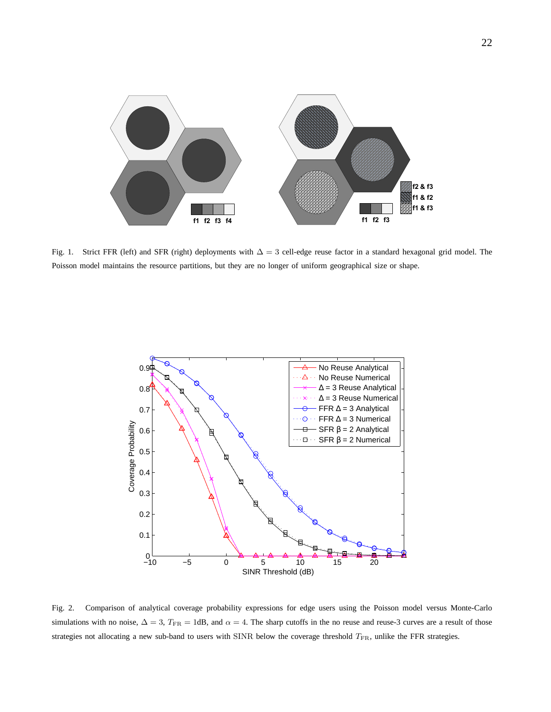

<span id="page-21-0"></span>Fig. 1. Strict FFR (left) and SFR (right) deployments with  $\Delta = 3$  cell-edge reuse factor in a standard hexagonal grid model. The Poisson model maintains the resource partitions, but they are no longer of uniform geographical size or shape.



<span id="page-21-1"></span>Fig. 2. Comparison of analytical coverage probability expressions for edge users using the Poisson model versus Monte-Carlo simulations with no noise,  $\Delta = 3$ ,  $T_{FR} = 1$ dB, and  $\alpha = 4$ . The sharp cutoffs in the no reuse and reuse-3 curves are a result of those strategies not allocating a new sub-band to users with SINR below the coverage threshold  $T_{\rm FR}$ , unlike the FFR strategies.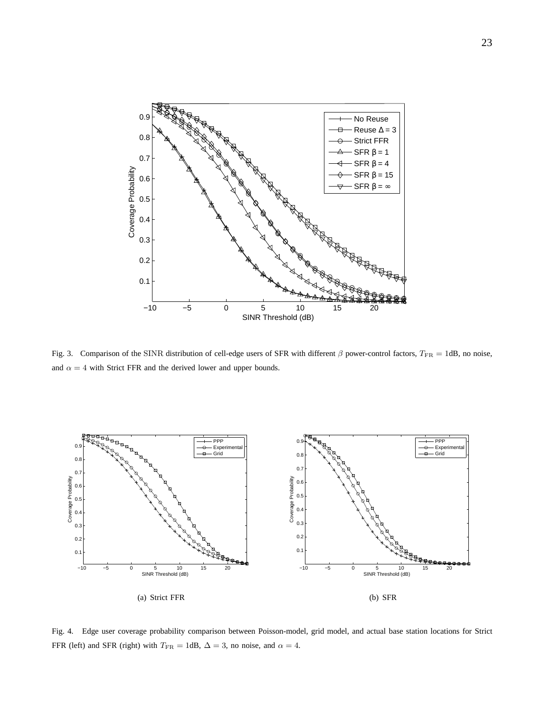

<span id="page-22-0"></span>Fig. 3. Comparison of the SINR distribution of cell-edge users of SFR with different  $\beta$  power-control factors,  $T_{\text{FR}} = 1$ dB, no noise, and  $\alpha = 4$  with Strict FFR and the derived lower and upper bounds.

<span id="page-22-1"></span>

<span id="page-22-2"></span>Fig. 4. Edge user coverage probability comparison between Poisson-model, grid model, and actual base station locations for Strict FFR (left) and SFR (right) with  $T_{\text{FR}} = 1$ dB,  $\Delta = 3$ , no noise, and  $\alpha = 4$ .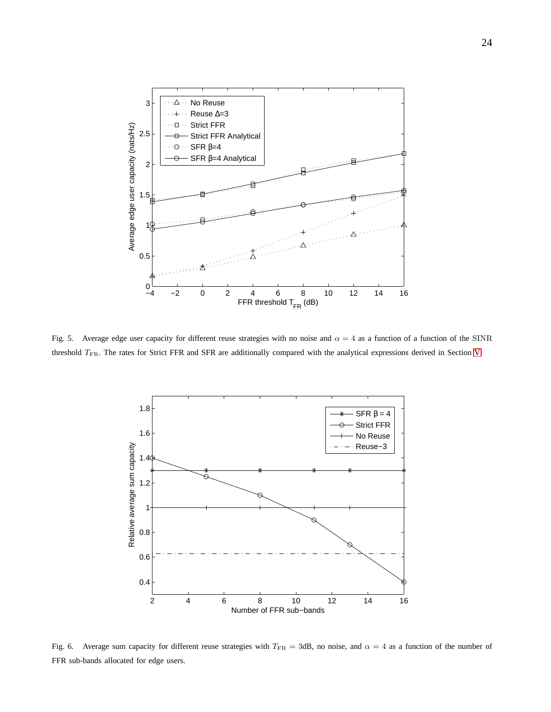

<span id="page-23-0"></span>Fig. 5. Average edge user capacity for different reuse strategies with no noise and  $\alpha = 4$  as a function of a function of the SINR threshold TFR. The rates for Strict FFR and SFR are additionally compared with the analytical expressions derived in Section [V.](#page-10-0)



<span id="page-23-1"></span>Fig. 6. Average sum capacity for different reuse strategies with  $T_{FR} = 3$ dB, no noise, and  $\alpha = 4$  as a function of the number of FFR sub-bands allocated for edge users.